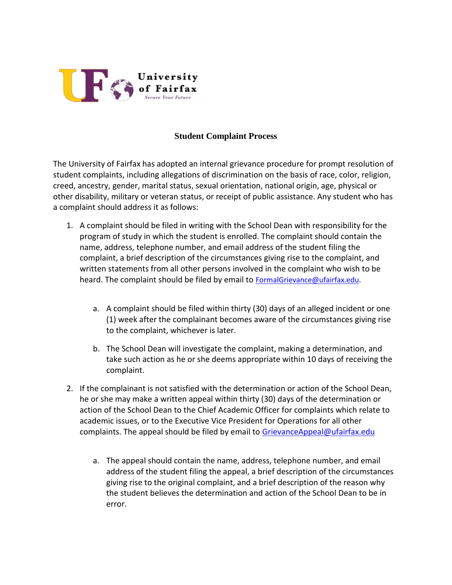

## **Student Complaint Process**

The University of Fairfax has adopted an internal grievance procedure for prompt resolution of student complaints, including allegations of discrimination on the basis of race, color, religion, creed, ancestry, gender, marital status, sexual orientation, national origin, age, physical or other disability, military or veteran status, or receipt of public assistance. Any student who has a complaint should address it as follows:

- 1. A complaint should be filed in writing with the School Dean with responsibility for the program of study in which the student is enrolled. The complaint should contain the name, address, telephone number, and email address of the student filing the complaint, a brief description of the circumstances giving rise to the complaint, and written statements from all other persons involved in the complaint who wish to be heard. The complaint should be filed by email to [FormalGrievance@ufairfax.edu.](mailto:FormalGrievance@ufairfax.edu)
	- a. A complaint should be filed within thirty (30) days of an alleged incident or one (1) week after the complainant becomes aware of the circumstances giving rise to the complaint, whichever is later.
	- b. The School Dean will investigate the complaint, making a determination, and take such action as he or she deems appropriate within 10 days of receiving the complaint.
- 2. If the complainant is not satisfied with the determination or action of the School Dean, he or she may make a written appeal within thirty (30) days of the determination or action of the School Dean to the Chief Academic Officer for complaints which relate to academic issues, or to the Executive Vice President for Operations for all other complaints. The appeal should be filed by email to [GrievanceAppeal@ufairfax.edu](mailto:GrievanceAppeal@ufairfax.edu)
	- a. The appeal should contain the name, address, telephone number, and email address of the student filing the appeal, a brief description of the circumstances giving rise to the original complaint, and a brief description of the reason why the student believes the determination and action of the School Dean to be in error.